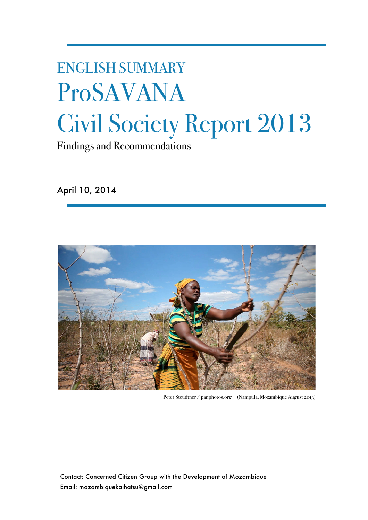# ENGLISH SUMMARY ProSAVANA Civil Society Report 2013

Findings and Recommendations

April 10, 2014



Peter Steudtner / panphotos.org (Nampula, Mozambique August 2013)

 Contact: Concerned Citizen Group with the Development of Mozambique Email: mozambiquekaihatsu@gmail.com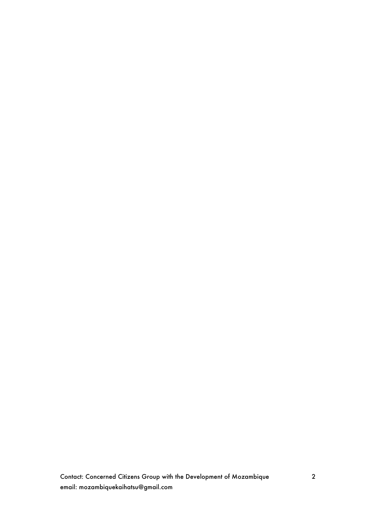Contact: Concerned Citizens Group with the Development of Mozambique 2 email: mozambiquekaihatsu@gmail.com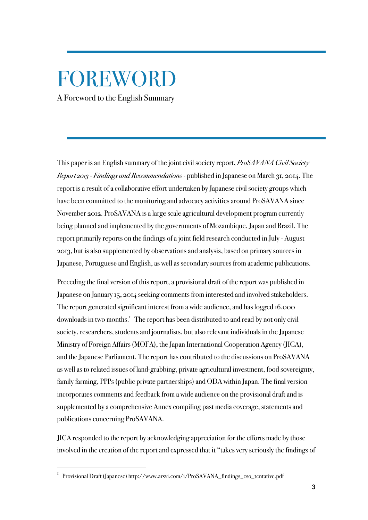## FOREWORD

A Foreword to the English Summary

This paper is an English summary of the joint civil society report, *ProSAVANA Civil Society Report 2013 - Findings and Recommendations -* published in Japanese on March 31, 2014. The report is a result of a collaborative effort undertaken by Japanese civil society groups which have been committed to the monitoring and advocacy activities around ProSAVANA since November 2012. ProSAVANA is a large scale agricultural development program currently being planned and implemented by the governments of Mozambique, Japan and Brazil. The report primarily reports on the findings of a joint field research conducted in July - August 2013, but is also supplemented by observations and analysis, based on primary sources in Japanese, Portuguese and English, as well as secondary sources from academic publications.

Preceding the final version of this report, a provisional draft of the report was published in Japanese on January 15, 2014 seeking comments from interested and involved stakeholders. The report generated significant interest from a wide audience, and has logged 16,000 downloads in two months.<sup>1</sup> The report has been distributed to and read by not only civil society, researchers, students and journalists, but also relevant individuals in the Japanese Ministry of Foreign Affairs (MOFA), the Japan International Cooperation Agency (JICA), and the Japanese Parliament. The report has contributed to the discussions on ProSAVANA as well as to related issues of land-grabbing, private agricultural investment, food sovereignty, family farming, PPPs (public private partnerships) and ODA within Japan. The final version incorporates comments and feedback from a wide audience on the provisional draft and is supplemented by a comprehensive Annex compiling past media coverage, statements and publications concerning ProSAVANA.

JICA responded to the report by acknowledging appreciation for the efforts made by those involved in the creation of the report and expressed that it "takes very seriously the findings of

<sup>1</sup> Provisional Draft (Japanese) http://www.arsvi.com/i/ProSAVANA\_findings\_cso\_tentative.pdf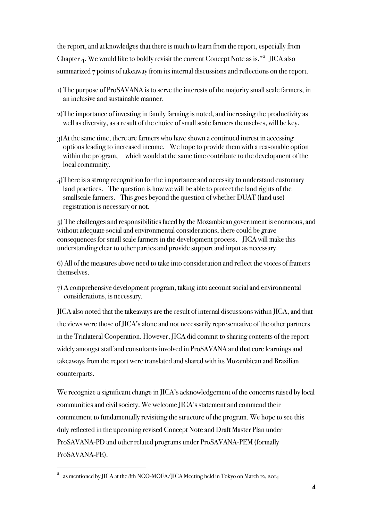the report, and acknowledges that there is much to learn from the report, especially from Chapter  $_4$ . We would like to boldly revisit the current Concept Note as is."<sup>2</sup> JICA also summarized 7 points of takeaway from its internal discussions and reflections on the report.

- 1) The purpose of ProSAVANA is to serve the interests of the majority small scale farmers, in an inclusive and sustainable manner.
- 2)The importance of investing in family farming is noted, and increasing the productivity as well as diversity, as a result of the choice of small scale farmers themselves, will be key.
- 3)At the same time, there are farmers who have shown a continued intrest in accessing options leading to increased income. We hope to provide them with a reasonable option within the program, which would at the same time contribute to the development of the local community.
- 4)There is a strong recognition for the importance and necessity to understand customary land practices. The question is how we will be able to protect the land rights of the smallscale farmers. This goes beyond the question of whether DUAT (land use) registration is necessary or not.

5) The challenges and responsibilities faced by the Mozambican government is enormous, and without adequate social and environmental considerations, there could be grave consequences for small scale farmers in the development process. JICA will make this understanding clear to other parties and provide support and input as necessary.

6) All of the measures above need to take into consideration and reflect the voices of framers themselves.

7) A comprehensive development program, taking into account social and environmental considerations, is necessary.

JICA also noted that the takeaways are the result of internal discussions within JICA, and that the views were those of JICA's alone and not necessarily representative of the other partners in the Trialateral Cooperation. However, JICA did commit to sharing contents of the report widely amongst staff and consultants involved in ProSAVANA and that core learnings and takeaways from the report were translated and shared with its Mozambican and Brazilian counterparts.

We recognize a significant change in JICA's acknowledgement of the concerns raised by local communities and civil society. We welcome JICA's statement and commend their commitment to fundamentally revisiting the structure of the program. We hope to see this duly reflected in the upcoming revised Concept Note and Draft Master Plan under ProSAVANA-PD and other related programs under ProSAVANA-PEM (formally ProSAVANA-PE).

as mentioned by JICA at the 8th NGO-MOFA/JICA Meeting held in Tokyo on March 12, 2014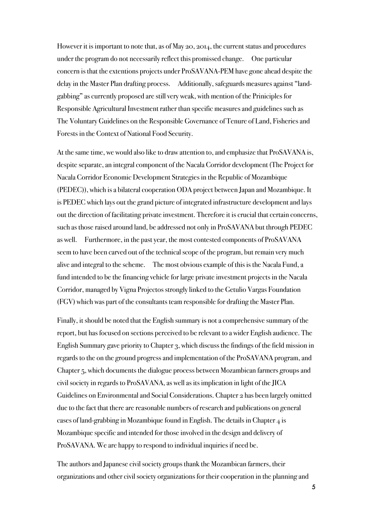However it is important to note that, as of May 20, 2014, the current status and procedures under the program do not necessarily reflect this promissed change. One particular concern is that the extentions projects under ProSAVANA-PEM have gone ahead despite the delay in the Master Plan drafting process. Additionally, safeguards measures against "landgabbing" as currently proposed are still very weak, with mention of the Priniciples for Responsible Agricultural Investment rather than specific measures and guidelines such as The Voluntary Guidelines on the Responsible Governance of Tenure of Land, Fisheries and Forests in the Context of National Food Security.

At the same time, we would also like to draw attention to, and emphasize that ProSAVANA is, despite separate, an integral component of the Nacala Corridor development (The Project for Nacala Corridor Economic Development Strategies in the Republic of Mozambique (PEDEC)), which is a bilateral cooperation ODA project between Japan and Mozambique. It is PEDEC which lays out the grand picture of integrated infrastructure development and lays out the direction of facilitating private investment. Therefore it is crucial that certain concerns, such as those raised around land, be addressed not only in ProSAVANA but through PEDEC as well. Furthermore, in the past year, the most contested components of ProSAVANA seem to have been carved out of the technical scope of the program, but remain very much alive and integral to the scheme. The most obvious example of this is the Nacala Fund, a fund intended to be the financing vehicle for large private investment projects in the Nacala Corridor, managed by Vigna Projectos strongly linked to the Getulio Vargas Foundation (FGV) which was part of the consultants team responsible for drafting the Master Plan.

Finally, it should be noted that the English summary is not a comprehensive summary of the report, but has focused on sections perceived to be relevant to a wider English audience. The English Summary gave priority to Chapter 3, which discuss the findings of the field mission in regards to the on the ground progress and implementation of the ProSAVANA program, and Chapter 5, which documents the dialogue process between Mozambican farmers groups and civil society in regards to ProSAVANA, as well as its implication in light of the JICA Guidelines on Environmental and Social Considerations. Chapter 2 has been largely omitted due to the fact that there are reasonable numbers of research and publications on general cases of land-grabbing in Mozambique found in English. The details in Chapter  $\ddot{A}$  is Mozambique specific and intended for those involved in the design and delivery of ProSAVANA. We are happy to respond to individual inquiries if need be.

The authors and Japanese civil society groups thank the Mozambican farmers, their organizations and other civil society organizations for their cooperation in the planning and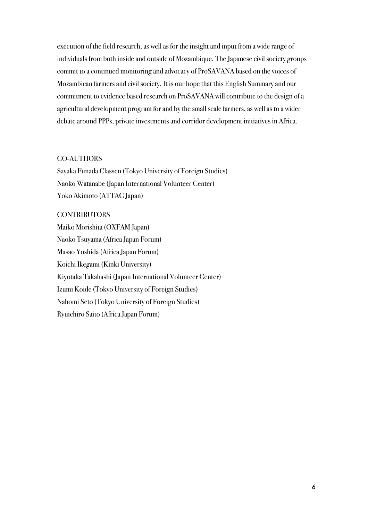execution of the field research, as well as for the insight and input from a wide range of individuals from both inside and outside of Mozambique. The Japanese civil society groups commit to a continued monitoring and advocacy of ProSAVANA based on the voices of Mozambican farmers and civil society. It is our hope that this English Summary and our commitment to evidence based research on ProSAVANA will contribute to the design of a agricultural development program for and by the small scale farmers, as well as to a wider debate around PPPs, private investments and corridor development initiatives in Africa.

#### CO-AUTHORS

Sayaka Funada Classen (Tokyo University of Foreign Studies) Naoko Watanabe (Japan International Volunteer Center) Yoko Akimoto (ATTAC Japan)

#### **CONTRIBUTORS**

Maiko Morishita (OXFAM Japan) Naoko Tsuyama (Africa Japan Forum) Masao Yoshida (Africa Japan Forum) Koichi Ikegami (Kinki University) Kiyotaka Takahashi (Japan International Volunteer Center) Izumi Koide (Tokyo University of Foreign Studies) Nahomi Seto (Tokyo University of Foreign Studies) Ryuichiro Saito (Africa Japan Forum)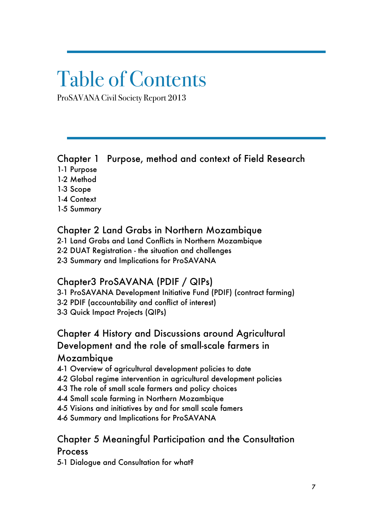## Table of Contents

ProSAVANA Civil Society Report 2013

### Chapter 1 Purpose, method and context of Field Research

- 1-1 Purpose
- 1-2 Method
- 1-3 Scope
- 1-4 Context
- 1-5 Summary

### Chapter 2 Land Grabs in Northern Mozambique

- 2-1 Land Grabs and Land Conflicts in Northern Mozambique
- 2-2 DUAT Registration the situation and challenges
- 2-3 Summary and Implications for ProSAVANA

## Chapter3 ProSAVANA (PDIF / QIPs)

- 3-1 ProSAVANA Development Initiative Fund (PDIF) (contract farming)
- 3-2 PDIF (accountability and conflict of interest)
- 3-3 Quick Impact Projects (QIPs)

### Chapter 4 History and Discussions around Agricultural Development and the role of small-scale farmers in Mozambique

- 4-1 Overview of agricultural development policies to date
- 4-2 Global regime intervention in agricultural development policies
- 4-3 The role of small scale farmers and policy choices
- 4-4 Small scale farming in Northern Mozambique
- 4-5 Visions and initiatives by and for small scale famers
- 4-6 Summary and Implications for ProSAVANA

### Chapter 5 Meaningful Participation and the Consultation Process

5-1 Dialogue and Consultation for what?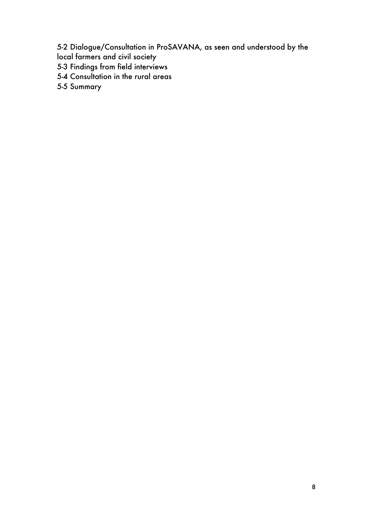5-2 Dialogue/Consultation in ProSAVANA, as seen and understood by the

local farmers and civil society 5-3 Findings from field interviews

5-4 Consultation in the rural areas

5-5 Summary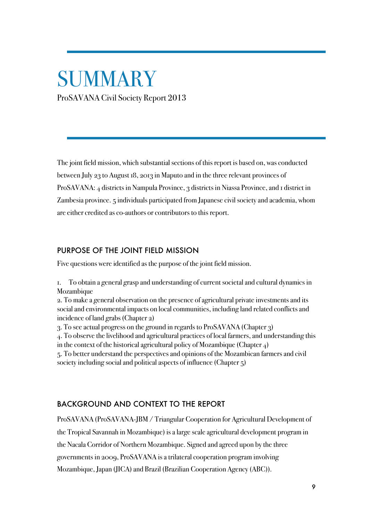## SUMMARY ProSAVANA Civil Society Report 2013

The joint field mission, which substantial sections of this report is based on, was conducted between July 23 to August 18, 2013 in Maputo and in the three relevant provinces of ProSAVANA: 4 districts in Nampula Province, 3 districts in Niassa Province, and 1 district in Zambesia province. 5 individuals participated from Japanese civil society and academia, whom are either credited as co-authors or contributors to this report.

#### PURPOSE OF THE JOINT FIELD MISSION

Five questions were identified as the purpose of the joint field mission.

- 1. To obtain a general grasp and understanding of current societal and cultural dynamics in Mozambique
- 2. To make a general observation on the presence of agricultural private investments and its social and environmental impacts on local communities, including land related conflicts and incidence of land grabs (Chapter 2)
- 3. To see actual progress on the ground in regards to ProSAVANA (Chapter 3)
- 4. To observe the livelihood and agricultural practices of local farmers, and understanding this in the context of the historical agricultural policy of Mozambique (Chapter  $_4$ )
- 5. To better understand the perspectives and opinions of the Mozambican farmers and civil society including social and political aspects of influence (Chapter 5)

#### BACKGROUND AND CONTEXT TO THE REPORT

ProSAVANA (ProSAVANA-JBM / Triangular Cooperation for Agricultural Development of the Tropical Savannah in Mozambique) is a large scale agricultural development program in the Nacala Corridor of Northern Mozambique. Signed and agreed upon by the three governments in 2009, ProSAVANA is a trilateral cooperation program involving Mozambique, Japan (JICA) and Brazil (Brazilian Cooperation Agency (ABC)).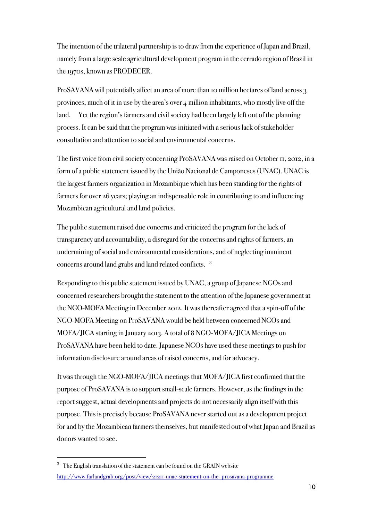The intention of the trilateral partnership is to draw from the experience of Japan and Brazil, namely from a large scale agricultural development program in the cerrado region of Brazil in the 1970s, known as PRODECER.

ProSAVANA will potentially affect an area of more than 10 million hectares of land across 3 provinces, much of it in use by the area's over 4 million inhabitants, who mostly live off the land. Yet the region's farmers and civil society had been largely left out of the planning process. It can be said that the program was initiated with a serious lack of stakeholder consultation and attention to social and environmental concerns.

The first voice from civil society concerning ProSAVANA was raised on October 11, 2012, in a form of a public statement issued by the União Nacional de Camponeses (UNAC). UNAC is the largest farmers organization in Mozambique which has been standing for the rights of farmers for over 26 years; playing an indispensable role in contributing to and influencing Mozambican agricultural and land policies.

The public statement raised due concerns and criticized the program for the lack of transparency and accountability, a disregard for the concerns and rights of farmers, an undermining of social and environmental considerations, and of neglecting imminent concerns around land grabs and land related conflicts. <sup>3</sup>

Responding to this public statement issued by UNAC, a group of Japanese NGOs and concerned researchers brought the statement to the attention of the Japanese government at the NGO-MOFA Meeting in December 2012. It was thereafter agreed that a spin-off of the NGO-MOFA Meeting on ProSAVANA would be held between concerned NGOs and MOFA/JICA starting in January 2013. A total of 8 NGO-MOFA/JICA Meetings on ProSAVANA have been held to date. Japanese NGOs have used these meetings to push for information disclosure around areas of raised concerns, and for advocacy.

It was through the NGO-MOFA/JICA meetings that MOFA/JICA first confirmed that the purpose of ProSAVANA is to support small-scale farmers. However, as the findings in the report suggest, actual developments and projects do not necessarily align itself with this purpose. This is precisely because ProSAVANA never started out as a development project for and by the Mozambican farmers themselves, but manifested out of what Japan and Brazil as donors wanted to see.

<sup>&</sup>lt;sup>3</sup> The English translation of the statement can be found on the GRAIN website http://www.farlandgrab.org/post/view/21211-unac-statement-on-the- prosavana-programme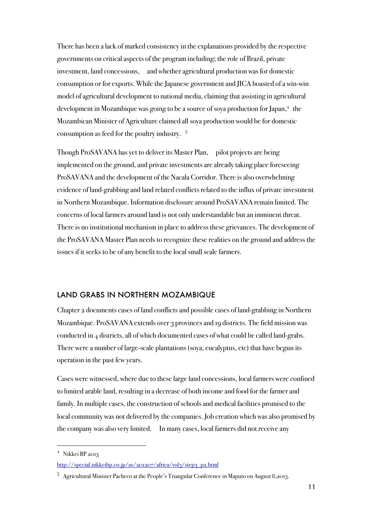There has been a lack of marked consistency in the explanations provided by the respective governments on critical aspects of the program including; the role of Brazil, private investment, land concessions, and whether agricultural production was for domestic consumption or for exports. While the Japanese government and JICA boasted of a win-win model of agricultural development to national media, claiming that assisting in agricultural development in Mozambique was going to be a source of soya production for Japan,<sup>4</sup> the Mozambican Minister of Agriculture claimed all soya production would be for domestic consumption as feed for the poultry industry. <sup>5</sup>

Though ProSAVANA has yet to deliver its Master Plan, pilot projects are being implemented on the ground, and private investments are already taking place foreseeing ProSAVANA and the development of the Nacala Corridor. There is also overwhelming evidence of land-grabbing and land related conflicts related to the influx of private investment in Northern Mozambique. Information disclosure around ProSAVANA remain limited. The concerns of local farmers around land is not only understandable but an imminent threat. There is no institutional mechanism in place to address these grievances. The development of the ProSAVANA Master Plan needs to recognize these realities on the ground and address the issues if it seeks to be of any benefit to the local small scale farmers.

#### LAND GRABS IN NORTHERN MOZAMBIQUE

Chapter 2 documents cases of land conflicts and possible cases of land-grabbing in Northern Mozambique. ProSAVANA extends over 3 provinces and 19 districts. The field mission was conducted in 4 districts, all of which documented cases of what could be called land-grabs. There were a number of large-scale plantations (soya, eucalyptus, etc) that have begun its operation in the past few years.

Cases were witnessed, where due to these large land concessions, local farmers were confined to limited arable land, resulting in a decrease of both income and food for the farmer and family. In multiple cases, the construction of schools and medical facilities promised to the local community was not delivered by the companies. Job creation which was also promised by the company was also very limited. In many cases, local farmers did not receive any

 $\overline{a}$ 

 $4$  Nikkei BP 2013

http://special.nikkeibp.co.jp/as/201207/africa/vol3/step3\_p2.html

<sup>5</sup> Agricultural Minister Pacheco at the People's Triangular Conference in Maputo on August 8,2013.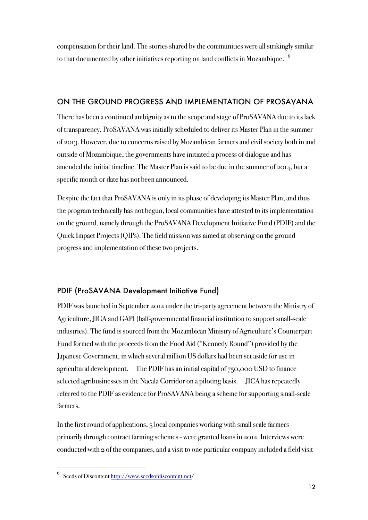compensation for their land. The stories shared by the communities were all strikingly similar to that documented by other initiatives reporting on land conflicts in Mozambique. <sup>6</sup>

#### ON THE GROUND PROGRESS AND IMPLEMENTATION OF PROSAVANA

There has been a continued ambiguity as to the scope and stage of ProSAVANA due to its lack of transparency. ProSAVANA was initially scheduled to deliver its Master Plan in the summer of 2013. However, due to concerns raised by Mozambican farmers and civil society both in and outside of Mozambique, the governments have initiated a process of dialogue and has amended the initial timeline. The Master Plan is said to be due in the summer of 2014, but a specific month or date has not been announced.

Despite the fact that ProSAVANA is only in its phase of developing its Master Plan, and thus the program technically has not begun, local communities have attested to its implementation on the ground, namely through the ProSAVANA Development Initiative Fund (PDIF) and the Quick Impact Projects (QIPs). The field mission was aimed at observing on the ground progress and implementation of these two projects.

#### PDIF (ProSAVANA Development Initiative Fund)

PDIF was launched in September 2012 under the tri-party agreement between the Ministry of Agriculture, JICA and GAPI (half-governmental financial institution to support small-scale industries). The fund is sourced from the Mozambican Ministry of Agriculture's Counterpart Fund formed with the proceeds from the Food Aid ("Kennedy Round") provided by the Japanese Government, in which several million US dollars had been set aside for use in agricultural development. The PDIF has an initial capital of 750,000 USD to finance selected agribusinesses in the Nacala Corridor on a piloting basis. JICA has repeatedly referred to the PDIF as evidence for ProSAVANA being a scheme for supporting small-scale farmers.

In the first round of applications, 5 local companies working with small scale farmers primarily through contract farming schemes - were granted loans in 2012. Interviews were conducted with 2 of the companies, and a visit to one particular company included a field visit

Seeds of Discontent http://www.seedsofdiscontent.net/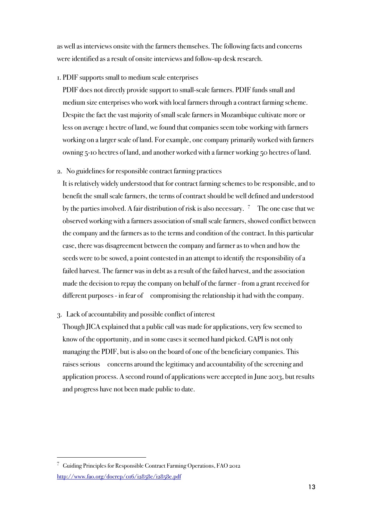as well as interviews onsite with the farmers themselves. The following facts and concerns were identified as a result of onsite interviews and follow-up desk research.

1. PDIF supports small to medium scale enterprises

PDIF does not directly provide support to small-scale farmers. PDIF funds small and medium size enterprises who work with local farmers through a contract farming scheme. Despite the fact the vast majority of small scale farmers in Mozambique cultivate more or less on average 1 hectre of land, we found that companies seem tobe working with farmers working on a larger scale of land. For example, one company primarily worked with farmers owning 5-10 hectres of land, and another worked with a farmer working 50 hectres of land.

2. No guidelines for responsible contract farming practices

It is relatively widely understood that for contract farming schemes to be responsible, and to benefit the small scale farmers, the terms of contract should be well defined and understood by the parties involved. A fair distribution of risk is also necessary.  $\frac{7}{1}$  The one case that we observed working with a farmers association of small scale farmers, showed conflict between the company and the farmers as to the terms and condition of the contract. In this particular case, there was disagreement between the company and farmer as to when and how the seeds were to be sowed, a point contested in an attempt to identify the responsibility of a failed harvest. The farmer was in debt as a result of the failed harvest, and the association made the decision to repay the company on behalf of the farmer - from a grant received for different purposes - in fear of compromising the relationship it had with the company.

3. Lack of accountability and possible conflict of interest

Though JICA explained that a public call was made for applications, very few seemed to know of the opportunity, and in some cases it seemed hand picked. GAPI is not only managing the PDIF, but is also on the board of one of the beneficiary companies. This raises serious concerns around the legitimacy and accountability of the screening and application process. A second round of applications were accepted in June 2013, but results and progress have not been made public to date.

<sup>&</sup>lt;sup>7</sup> Guiding Principles for Responsible Contract Farming Operations, FAO 2012 http://www.fao.org/docrep/016/i2858e/i2858e.pdf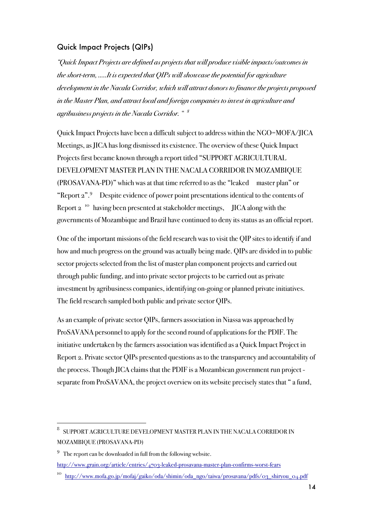#### Quick Impact Projects (QIPs)

*"Quick Impact Projects are defined as projects that will produce visible impacts/outcomes in the short-term, …..It is expected that QIPs will showcase the potential for agriculture development in the Nacala Corridor, which will attract donors to finance the projects proposed in the Master Plan, and attract local and foreign companies to invest in agriculture and agribusiness projects in the Nacala Corridor. " <sup>8</sup>*

Quick Impact Projects have been a difficult subject to address within the NGO=MOFA/JICA Meetings, as JICA has long dismissed its existence. The overview of these Quick Impact Projects first became known through a report titled "SUPPORT AGRICULTURAL DEVELOPMENT MASTER PLAN IN THE NACALA CORRIDOR IN MOZAMBIQUE (PROSAVANA-PD)" which was at that time referred to as the "leaked master plan" or "Report 2".<sup>9</sup> Despite evidence of power point presentations identical to the contents of Report  $2<sup>10</sup>$  having been presented at stakeholder meetings, JICA along with the governments of Mozambique and Brazil have continued to deny its status as an official report.

One of the important missions of the field research was to visit the QIP sites to identify if and how and much progress on the ground was actually being made. QIPs are divided in to public sector projects selected from the list of master plan component projects and carried out through public funding, and into private sector projects to be carried out as private investment by agribusiness companies, identifying on-going or planned private initiatives. The field research sampled both public and private sector QIPs.

As an example of private sector QIPs, farmers association in Niassa was approached by ProSAVANA personnel to apply for the second round of applications for the PDIF. The initiative undertaken by the farmers association was identified as a Quick Impact Project in Report 2. Private sector QIPs presented questions as to the transparency and accountability of the process. Though JICA claims that the PDIF is a Mozambican government run project separate from ProSAVANA, the project overview on its website precisely states that " a fund,

 $\overline{a}$ 

<sup>8</sup> SUPPORT AGRICULTURE DEVELOPMENT MASTER PLAN IN THE NACALA CORRIDOR IN MOZAMBIQUE (PROSAVANA-PD)

 $9$  The report can be downloaded in full from the following website.

http://www.grain.org/article/entries/4703-leaked-prosavana-master-plan-confirms-worst-fears

<sup>10</sup> http://www.mofa.go.jp/mofaj/gaiko/oda/shimin/oda\_ngo/taiwa/prosavana/pdfs/03\_shiryou\_04.pdf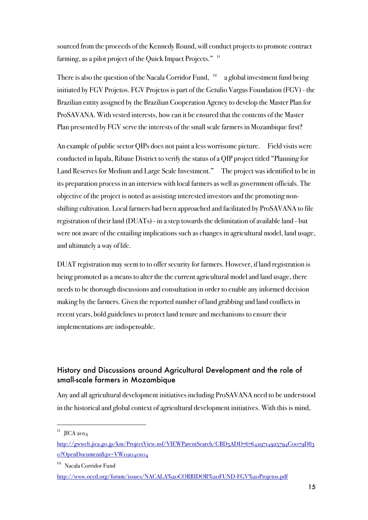sourced from the proceeds of the Kennedy Round, will conduct projects to promote contract farming, as a pilot project of the Quick Impact Projects."  $\textsuperscript{11}$ 

There is also the question of the Nacala Corridor Fund,  $12$  a global investment fund being initiated by FGV Projetos. FGV Projetos is part of the Getulio Vargas Foundation (FGV) - the Brazilian entity assigned by the Brazilian Cooperation Agency to develop the Master Plan for ProSAVANA. With vested interests, how can it be ensured that the contents of the Master Plan presented by FGV serve the interests of the small scale farmers in Mozambique first?

An example of public sector QIPs does not paint a less worrisome picture. Field visits were conducted in Iapala, Ribaue District to verify the status of a QIP project titled "Planning for Land Reserves for Medium and Large Scale Investment." The project was identified to be in its preparation process in an interview with local farmers as well as government officials. The objective of the project is noted as assisting interested investors and the promoting nonshifting cultivation. Local farmers had been approached and facilitated by ProSAVANA to file registration of their land (DUATs) - in a step towards the delimitation of available land - but were not aware of the entailing implications such as changes in agricultural model, land usage, and ultimately a way of life.

DUAT registration may seem to to offer security for farmers. However, if land registration is being promoted as a means to alter the the current agricultural model and land usage, there needs to be thorough discussions and consultation in order to enable any informed decision making by the farmers. Given the reported number of land grabbing and land conflicts in recent years, bold guidelines to protect land tenure and mechanisms to ensure their implementations are indispensable.

#### History and Discussions around Agricultural Development and the role of small-scale farmers in Mozambique

Any and all agricultural development initiatives including ProSAVANA need to be understood in the historical and global context of agricultural development initiatives. With this is mind,

 $\overline{a}$ 

 $\rm{^{11}}$  JICA 2014

http://gwweb.jica.go.jp/km/ProjectView.nsf/VIEWParentSearch/CBD5ADD7676429714925794C0079D83 0?OpenDocument&pv=VW02040104

<sup>&</sup>lt;sup>12</sup> Nacala Corridor Fund

http://www.oecd.org/forum/issues/NACALA%20CORRIDOR%20FUND-FGV%20Projetos.pdf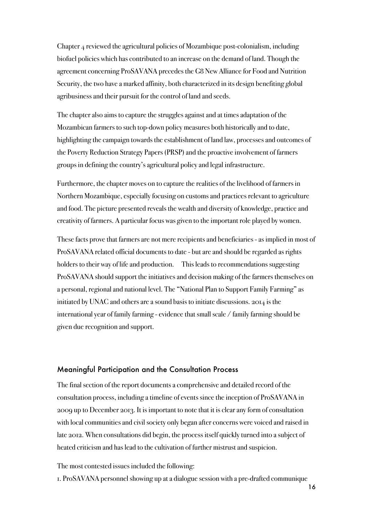Chapter  $\alpha$  reviewed the agricultural policies of Mozambique post-colonialism, including biofuel policies which has contributed to an increase on the demand of land. Though the agreement concerning ProSAVANA precedes the G8 New Alliance for Food and Nutrition Security, the two have a marked affinity, both characterized in its design benefiting global agribusiness and their pursuit for the control of land and seeds.

The chapter also aims to capture the struggles against and at times adaptation of the Mozambican farmers to such top-down policy measures both historically and to date, highlighting the campaign towards the establishment of land law, processes and outcomes of the Poverty Reduction Strategy Papers (PRSP) and the proactive involvement of farmers groups in defining the country's agricultural policy and legal infrastructure.

Furthermore, the chapter moves on to capture the realities of the livelihood of farmers in Northern Mozambique, especially focusing on customs and practices relevant to agriculture and food. The picture presented reveals the wealth and diversity of knowledge, practice and creativity of farmers. A particular focus was given to the important role played by women.

These facts prove that farmers are not mere recipients and beneficiaries - as implied in most of ProSAVANA related official documents to date - but are and should be regarded as rights holders to their way of life and production. This leads to recommendations suggesting ProSAVANA should support the initiatives and decision making of the farmers themselves on a personal, regional and national level. The "National Plan to Support Family Farming" as initiated by UNAC and others are a sound basis to initiate discussions. 2014 is the international year of family farming - evidence that small scale / family farming should be given due recognition and support.

#### Meaningful Participation and the Consultation Process

The final section of the report documents a comprehensive and detailed record of the consultation process, including a timeline of events since the inception of ProSAVANA in 2009 up to December 2013. It is important to note that it is clear any form of consultation with local communities and civil society only began after concerns were voiced and raised in late 2012. When consultations did begin, the process itself quickly turned into a subject of heated criticism and has lead to the cultivation of further mistrust and suspicion.

The most contested issues included the following:

1. ProSAVANA personnel showing up at a dialogue session with a pre-drafted communique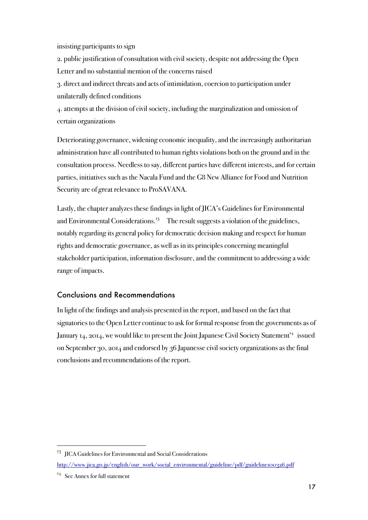insisting participants to sign

2. public justification of consultation with civil society, despite not addressing the Open Letter and no substantial mention of the concerns raised

3. direct and indirect threats and acts of intimidation, coercion to participation under unilaterally defined conditions

4. attempts at the division of civil society, including the marginalization and omission of certain organizations

Deteriorating governance, widening economic inequality, and the increasingly authoritarian administration have all contributed to human rights violations both on the ground and in the consultation process. Needless to say, different parties have different interests, and for certain parties, initiatives such as the Nacala Fund and the G8 New Alliance for Food and Nutrition Security are of great relevance to ProSAVANA.

Lastly, the chapter analyzes these findings in light of JICA's Guidelines for Environmental and Environmental Considerations.<sup>13</sup> The result suggests a violation of the guidelines, notably regarding its general policy for democratic decision making and respect for human rights and democratic governance, as well as in its principles concerning meaningful stakeholder participation, information disclosure, and the commitment to addressing a wide range of impacts.

#### Conclusions and Recommendations

In light of the findings and analysis presented in the report, and based on the fact that signatories to the Open Letter continue to ask for formal response from the governments as of January 14, 2014, we would like to present the Joint Japanese Civil Society Statement<sup>14</sup> issued on September 30, 2014 and endorsed by 36 Japanesse civil society organizations as the final conclusions and recommendations of the report.

 $\overline{a}$ 

<sup>&</sup>lt;sup>13</sup> JICA Guidelines for Environmental and Social Considerations

http://www.jica.go.jp/english/our\_work/social\_environmental/guideline/pdf/guideline100326.pdf

<sup>&</sup>lt;sup>14</sup> See Annex for full statement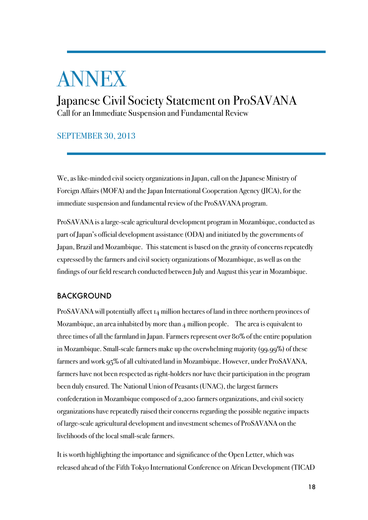## ANNEX

## Japanese Civil Society Statement on ProSAVANA

Call for an Immediate Suspension and Fundamental Review

#### SEPTEMBER 30, 2013

We, as like-minded civil society organizations in Japan, call on the Japanese Ministry of Foreign Affairs (MOFA) and the Japan International Cooperation Agency (JICA), for the immediate suspension and fundamental review of the ProSAVANA program.

ProSAVANA is a large-scale agricultural development program in Mozambique, conducted as part of Japan's official development assistance (ODA) and initiated by the governments of Japan, Brazil and Mozambique. This statement is based on the gravity of concerns repeatedly expressed by the farmers and civil society organizations of Mozambique, as well as on the findings of our field research conducted between July and August this year in Mozambique.

#### BACKGROUND

ProSAVANA will potentially affect  $I_4$  million hectares of land in three northern provinces of Mozambique, an area inhabited by more than  $4$  million people. The area is equivalent to three times of all the farmland in Japan. Farmers represent over 80% of the entire population in Mozambique. Small-scale farmers make up the overwhelming majority (99.99%) of these farmers and work 95% of all cultivated land in Mozambique. However, under ProSAVANA, farmers have not been respected as right-holders nor have their participation in the program been duly ensured. The National Union of Peasants (UNAC), the largest farmers confederation in Mozambique composed of 2,200 farmers organizations, and civil society organizations have repeatedly raised their concerns regarding the possible negative impacts of large-scale agricultural development and investment schemes of ProSAVANA on the livelihoods of the local small-scale farmers.

It is worth highlighting the importance and significance of the Open Letter, which was released ahead of the Fifth Tokyo International Conference on African Development (TICAD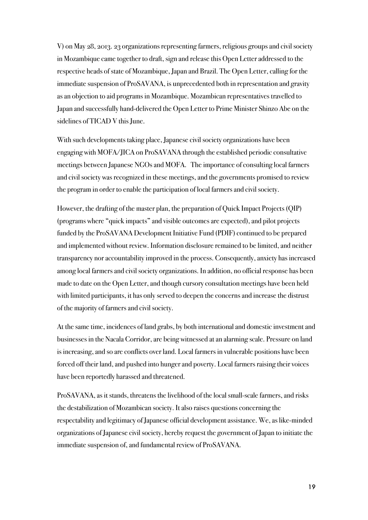V) on May 28, 2013. 23 organizations representing farmers, religious groups and civil society in Mozambique came together to draft, sign and release this Open Letter addressed to the respective heads of state of Mozambique, Japan and Brazil. The Open Letter, calling for the immediate suspension of ProSAVANA, is unprecedented both in representation and gravity as an objection to aid programs in Mozambique. Mozambican representatives travelled to Japan and successfully hand-delivered the Open Letter to Prime Minister Shinzo Abe on the sidelines of TICAD V this June.

With such developments taking place, Japanese civil society organizations have been engaging with MOFA/JICA on ProSAVANA through the established periodic consultative meetings between Japanese NGOs and MOFA. The importance of consulting local farmers and civil society was recognized in these meetings, and the governments promised to review the program in order to enable the participation of local farmers and civil society.

However, the drafting of the master plan, the preparation of Quick Impact Projects (QIP) (programs where "quick impacts" and visible outcomes are expected), and pilot projects funded by the ProSAVANA Development Initiative Fund (PDIF) continued to be prepared and implemented without review. Information disclosure remained to be limited, and neither transparency nor accountability improved in the process. Consequently, anxiety has increased among local farmers and civil society organizations. In addition, no official response has been made to date on the Open Letter, and though cursory consultation meetings have been held with limited participants, it has only served to deepen the concerns and increase the distrust of the majority of farmers and civil society.

At the same time, incidences of land grabs, by both international and domestic investment and businesses in the Nacala Corridor, are being witnessed at an alarming scale. Pressure on land is increasing, and so are conflicts over land. Local farmers in vulnerable positions have been forced off their land, and pushed into hunger and poverty. Local farmers raising their voices have been reportedly harassed and threatened.

ProSAVANA, as it stands, threatens the livelihood of the local small-scale farmers, and risks the destabilization of Mozambican society. It also raises questions concerning the respectability and legitimacy of Japanese official development assistance. We, as like-minded organizations of Japanese civil society, hereby request the government of Japan to initiate the immediate suspension of, and fundamental review of ProSAVANA.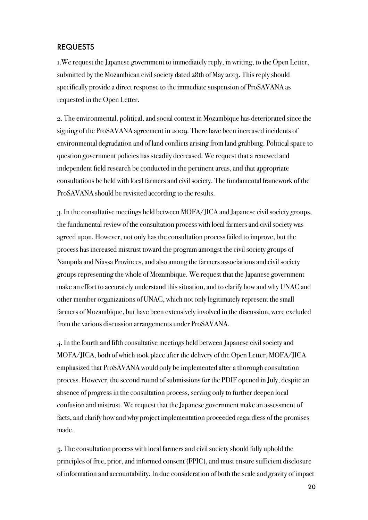#### REQUESTS

1.We request the Japanese government to immediately reply, in writing, to the Open Letter, submitted by the Mozambican civil society dated 28th of May 2013. This reply should specifically provide a direct response to the immediate suspension of ProSAVANA as requested in the Open Letter.

2. The environmental, political, and social context in Mozambique has deteriorated since the signing of the ProSAVANA agreement in 2009. There have been increased incidents of environmental degradation and of land conflicts arising from land grabbing. Political space to question government policies has steadily decreased. We request that a renewed and independent field research be conducted in the pertinent areas, and that appropriate consultations be held with local farmers and civil society. The fundamental framework of the ProSAVANA should be revisited according to the results.

3. In the consultative meetings held between MOFA/JICA and Japanese civil society groups, the fundamental review of the consultation process with local farmers and civil society was agreed upon. However, not only has the consultation process failed to improve, but the process has increased mistrust toward the program amongst the civil society groups of Nampula and Niassa Provinces, and also among the farmers associations and civil society groups representing the whole of Mozambique. We request that the Japanese government make an effort to accurately understand this situation, and to clarify how and why UNAC and other member organizations of UNAC, which not only legitimately represent the small farmers of Mozambique, but have been extensively involved in the discussion, were excluded from the various discussion arrangements under ProSAVANA.

4. In the fourth and fifth consultative meetings held between Japanese civil society and MOFA/JICA, both of which took place after the delivery of the Open Letter, MOFA/JICA emphasized that ProSAVANA would only be implemented after a thorough consultation process. However, the second round of submissions for the PDIF opened in July, despite an absence of progress in the consultation process, serving only to further deepen local confusion and mistrust. We request that the Japanese government make an assessment of facts, and clarify how and why project implementation proceeded regardless of the promises made.

5. The consultation process with local farmers and civil society should fully uphold the principles of free, prior, and informed consent (FPIC), and must ensure sufficient disclosure of information and accountability. In due consideration of both the scale and gravity of impact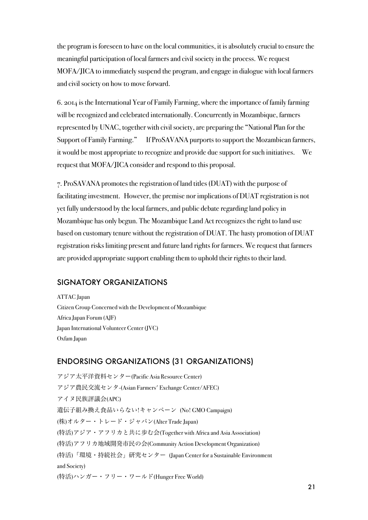the program is foreseen to have on the local communities, it is absolutely crucial to ensure the meaningful participation of local farmers and civil society in the process. We request MOFA/JICA to immediately suspend the program, and engage in dialogue with local farmers and civil society on how to move forward.

6. 2014 is the International Year of Family Farming, where the importance of family farming will be recognized and celebrated internationally. Concurrently in Mozambique, farmers represented by UNAC, together with civil society, are preparing the "National Plan for the Support of Family Farming." If ProSAVANA purports to support the Mozambican farmers, it would be most appropriate to recognize and provide due support for such initiatives. We request that MOFA/JICA consider and respond to this proposal.

7. ProSAVANA promotes the registration of land titles (DUAT) with the purpose of facilitating investment. However, the premise nor implications of DUAT registration is not yet fully understood by the local farmers, and public debate regarding land policy in Mozambique has only begun. The Mozambique Land Act recognizes the right to land use based on customary tenure without the registration of DUAT. The hasty promotion of DUAT registration risks limiting present and future land rights for farmers. We request that farmers are provided appropriate support enabling them to uphold their rights to their land.

#### SIGNATORY ORGANIZATIONS

ATTAC Japan Citizen Group Concerned with the Development of Mozambique Africa Japan Forum (AJF) Japan International Volunteer Center (JVC) Oxfam Japan

#### ENDORSING ORGANIZATIONS (31 ORGANIZATIONS)

アジア太平洋資料センター(Pacific Asia Resource Center) アジア農民交流センタ-(Asian Farmers' Exchange Center/AFEC) アイヌ民族評議会(APC) 遺伝子組み換え食品いらない!キャンペーン (No! GMO Campaign) (株)オルター・トレード・ジャパン(Alter Trade Japan) (特活)アジア・アフリカと共に歩む会(Together with Africa and Asia Association) (特活)アフリカ地域開発市民の会(Community Action Development Organization) (特活)「環境・持続社会」研究センター (Japan Center for a Sustainable Environment and Society) (特活)ハンガー・フリー・ワールド(Hunger Free World)